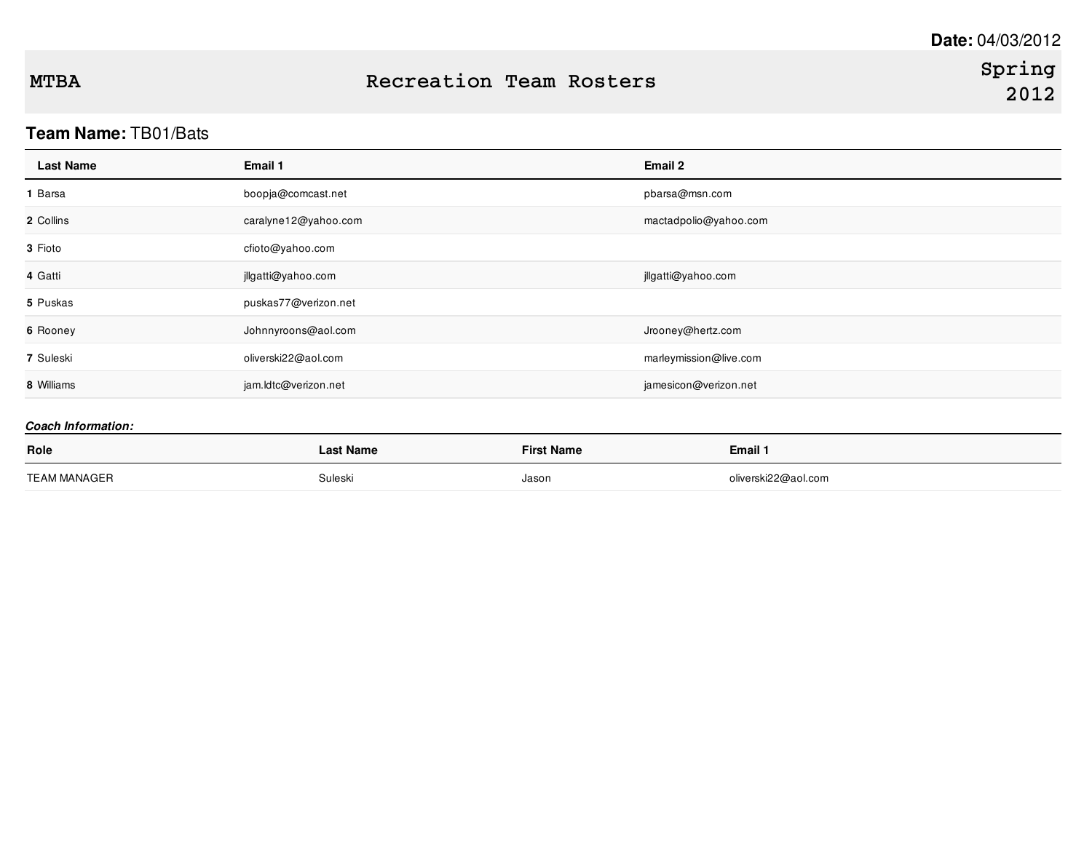# **Team Name:** TB01/Bats

| <b>Last Name</b> | Email 1              | Email 2                |
|------------------|----------------------|------------------------|
| ∣ Barsa          | boopja@comcast.net   | pbarsa@msn.com         |
| 2 Collins        | caralyne12@yahoo.com | mactadpolio@yahoo.com  |
| 3 Fioto          | cfioto@yahoo.com     |                        |
| 4 Gatti          | jllgatti@yahoo.com   | jllgatti@yahoo.com     |
| 5 Puskas         | puskas77@verizon.net |                        |
| 6 Rooney         | Johnnyroons@aol.com  | Jrooney@hertz.com      |
| 7 Suleski        | oliverski22@aol.com  | marleymission@live.com |
| 8 Williams       | jam.ldtc@verizon.net | jamesicon@verizon.net  |

| Role         | <b>Last Name</b> | <b>First Name</b> | <b>Email 1</b>      |
|--------------|------------------|-------------------|---------------------|
| TEAM MANAGER | Suleski          | Jason             | oliverski22@aol.com |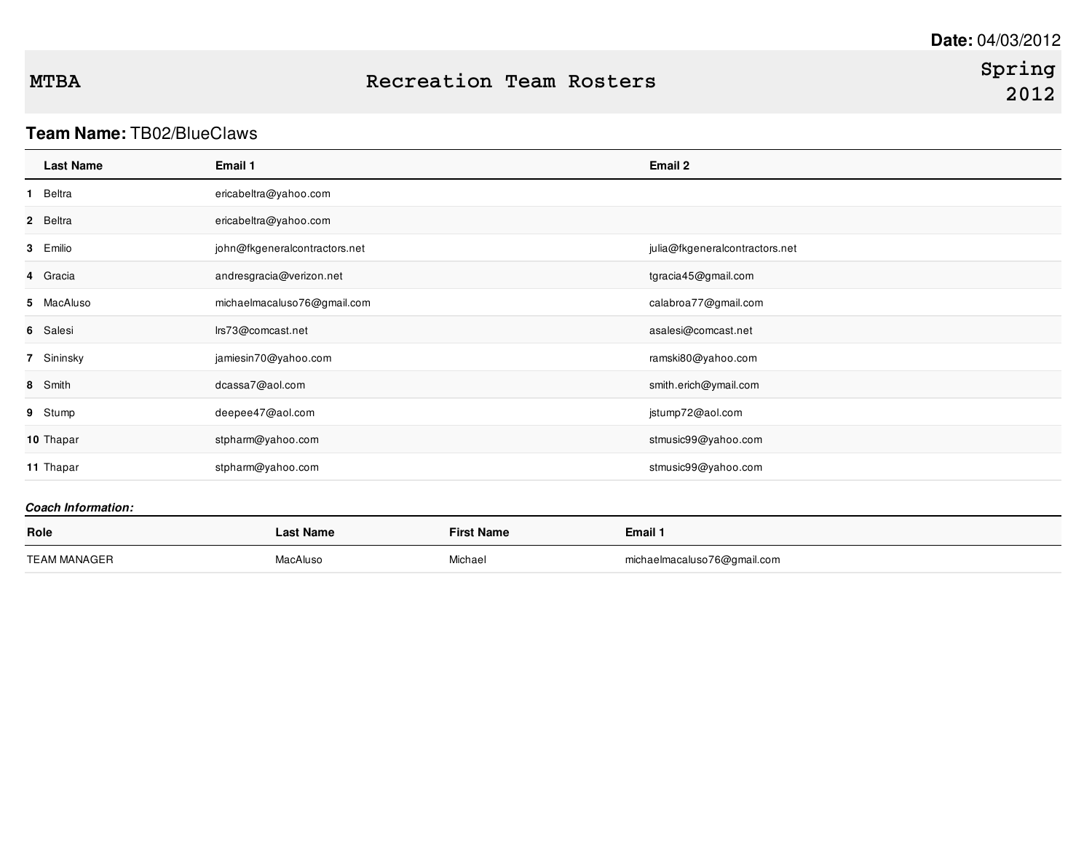# **Spring 2012**

## **Team Name:** TB02/BlueClaws

| <b>Last Name</b> | Email 1                       | Email 2                        |
|------------------|-------------------------------|--------------------------------|
| Beltra<br>1.     | ericabeltra@yahoo.com         |                                |
| 2 Beltra         | ericabeltra@yahoo.com         |                                |
| 3 Emilio         | john@fkgeneralcontractors.net | julia@fkgeneralcontractors.net |
| 4 Gracia         | andresgracia@verizon.net      | tgracia45@gmail.com            |
| 5 MacAluso       | michaelmacaluso76@gmail.com   | calabroa77@gmail.com           |
| 6 Salesi         | lrs73@comcast.net             | asalesi@comcast.net            |
| 7 Sininsky       | jamiesin70@yahoo.com          | ramski80@yahoo.com             |
| 8 Smith          | dcassa7@aol.com               | smith.erich@ymail.com          |
| 9 Stump          | deepee47@aol.com              | jstump72@aol.com               |
| 10 Thapar        | stpharm@yahoo.com             | stmusic99@yahoo.com            |
| 11 Thapar        | stpharm@yahoo.com             | stmusic99@yahoo.com            |

| Role                | ast Name. | <b>First Name</b> | Email 1                     |
|---------------------|-----------|-------------------|-----------------------------|
| <b>TEAM MANAGER</b> | MacAluso  | Michael           | michaelmacaluso76@gmail.com |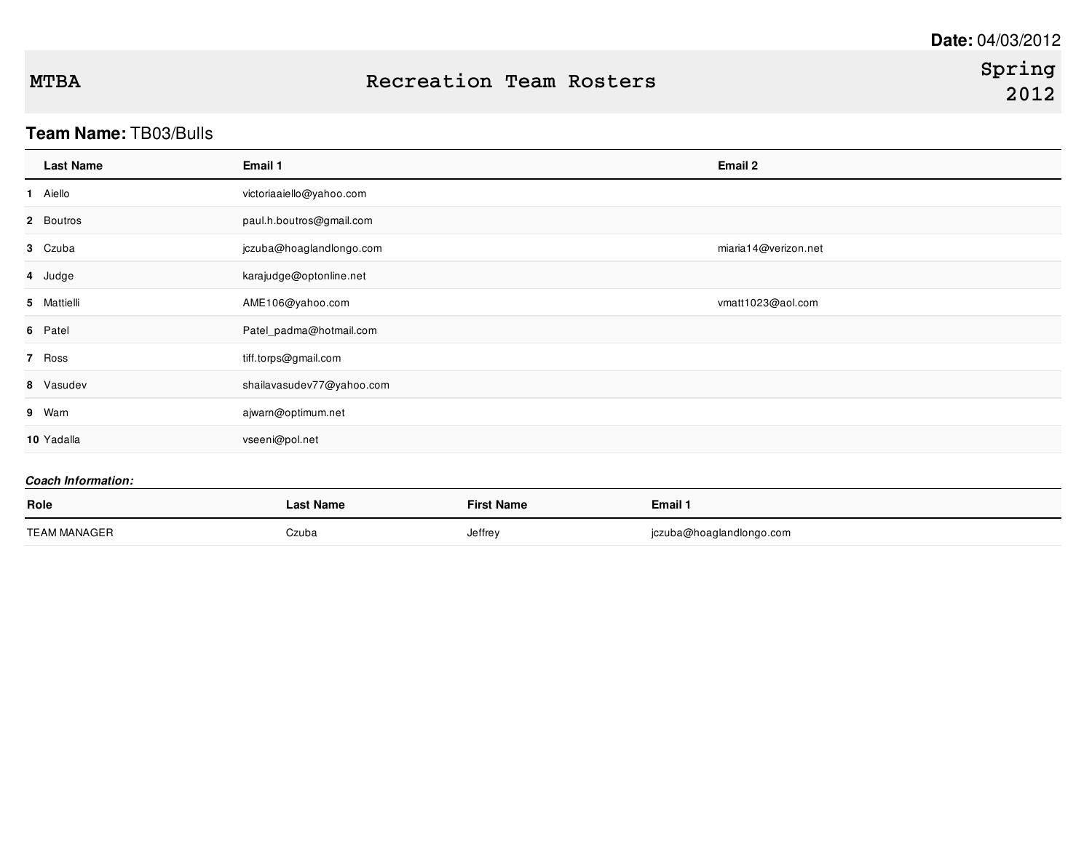## **Team Name:** TB03/Bulls

| <b>Last Name</b> | Email 1                   | Email 2              |
|------------------|---------------------------|----------------------|
| 1 Aiello         | victoriaaiello@yahoo.com  |                      |
| 2 Boutros        | paul.h.boutros@gmail.com  |                      |
| 3 Czuba          | jczuba@hoaglandlongo.com  | miaria14@verizon.net |
| 4 Judge          | karajudge@optonline.net   |                      |
| 5 Mattielli      | AME106@yahoo.com          | vmatt1023@aol.com    |
| 6 Patel          | Patel_padma@hotmail.com   |                      |
| 7 Ross           | tiff.torps@gmail.com      |                      |
| 8 Vasudev        | shailavasudev77@yahoo.com |                      |
| 9 Warn           | ajwarn@optimum.net        |                      |
| 10 Yadalla       | vseeni@pol.net            |                      |

| Role         | <b>Last Name</b> | <b>First Name</b> | Email 1                  |
|--------------|------------------|-------------------|--------------------------|
| TEAM MANAGER | Czuba            | Jeffrey           | jczuba@hoaglandlongo.com |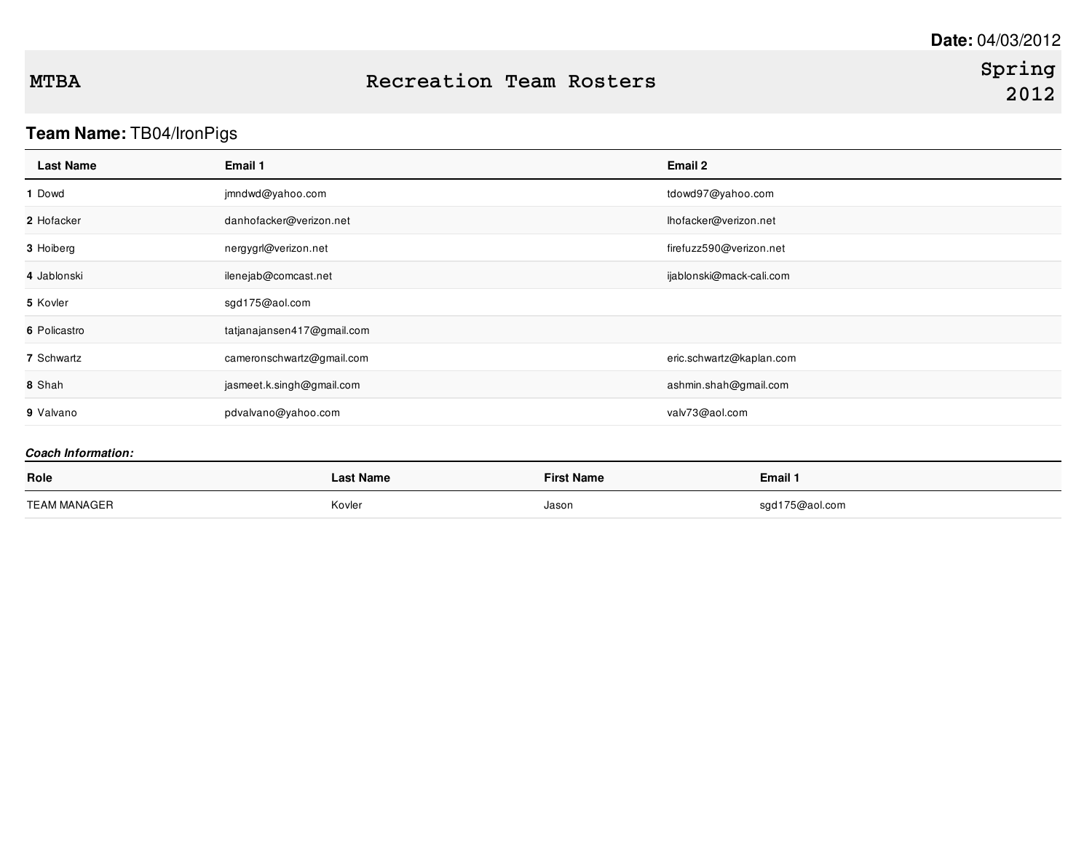# **Team Name:** TB04/IronPigs

| <b>Last Name</b>          | Email 1                    |                   | Email 2                  |  |
|---------------------------|----------------------------|-------------------|--------------------------|--|
| 1 Dowd                    | jmndwd@yahoo.com           |                   | tdowd97@yahoo.com        |  |
| 2 Hofacker                | danhofacker@verizon.net    |                   | lhofacker@verizon.net    |  |
| 3 Hoiberg                 | nergygrl@verizon.net       |                   | firefuzz590@verizon.net  |  |
| 4 Jablonski               | ilenejab@comcast.net       |                   | ijablonski@mack-cali.com |  |
| 5 Kovler                  | sgd175@aol.com             |                   |                          |  |
| 6 Policastro              | tatjanajansen417@gmail.com |                   |                          |  |
| 7 Schwartz                | cameronschwartz@gmail.com  |                   | eric.schwartz@kaplan.com |  |
| 8 Shah                    | jasmeet.k.singh@gmail.com  |                   | ashmin.shah@gmail.com    |  |
| 9 Valvano                 | pdvalvano@yahoo.com        |                   | valv73@aol.com           |  |
| <b>Coach Information:</b> |                            |                   |                          |  |
| Role                      | <b>Last Name</b>           | <b>First Name</b> | Email 1                  |  |
| <b>TEAM MANAGER</b>       | Kovler                     | Jason             | sgd175@aol.com           |  |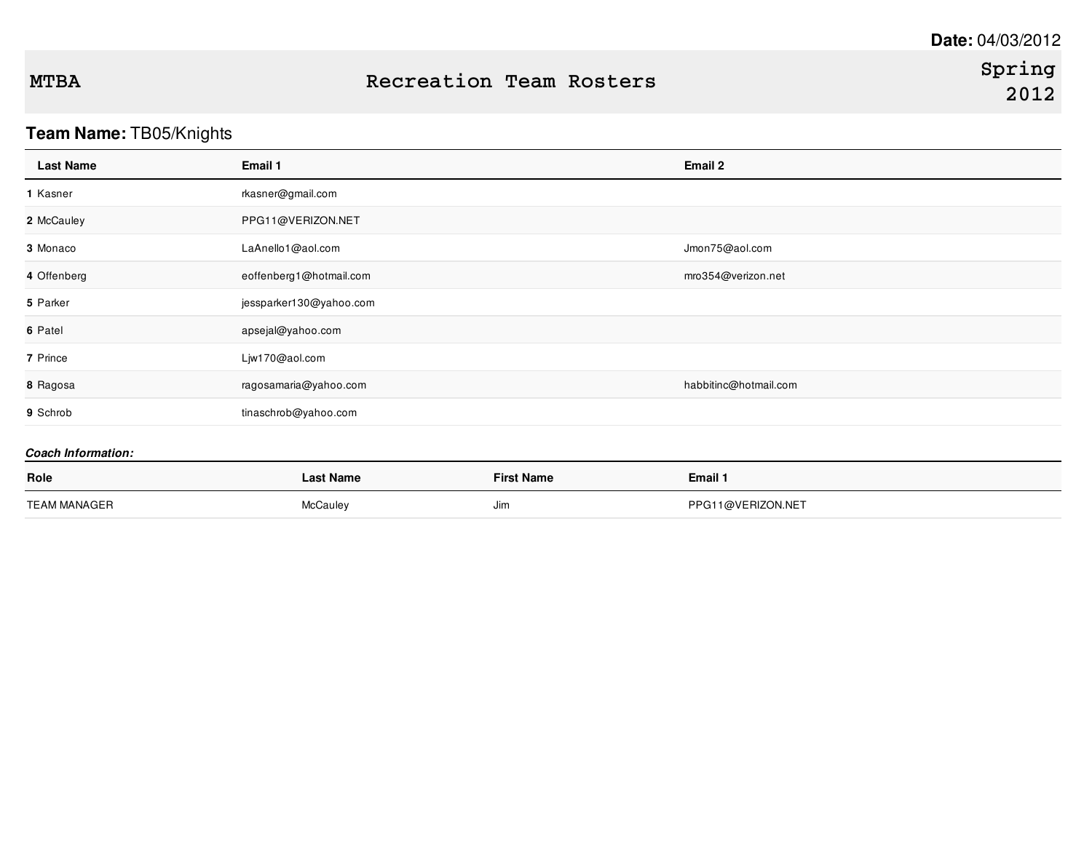# **Team Name:** TB05/Knights

| <b>Last Name</b>          | Email 1                 |                   | Email 2               |
|---------------------------|-------------------------|-------------------|-----------------------|
| 1 Kasner                  | rkasner@gmail.com       |                   |                       |
| 2 McCauley                | PPG11@VERIZON.NET       |                   |                       |
| 3 Monaco                  | LaAnello1@aol.com       |                   | Jmon75@aol.com        |
| 4 Offenberg               | eoffenberg1@hotmail.com |                   | mro354@verizon.net    |
| 5 Parker                  | jessparker130@yahoo.com |                   |                       |
| 6 Patel                   | apsejal@yahoo.com       |                   |                       |
| 7 Prince                  | Ljw170@aol.com          |                   |                       |
| 8 Ragosa                  | ragosamaria@yahoo.com   |                   | habbitinc@hotmail.com |
| 9 Schrob                  | tinaschrob@yahoo.com    |                   |                       |
| <b>Coach Information:</b> |                         |                   |                       |
| Role                      | <b>Last Name</b>        | <b>First Name</b> | Email 1               |
| <b>TEAM MANAGER</b>       | McCauley                | Jim               | PPG11@VERIZON.NET     |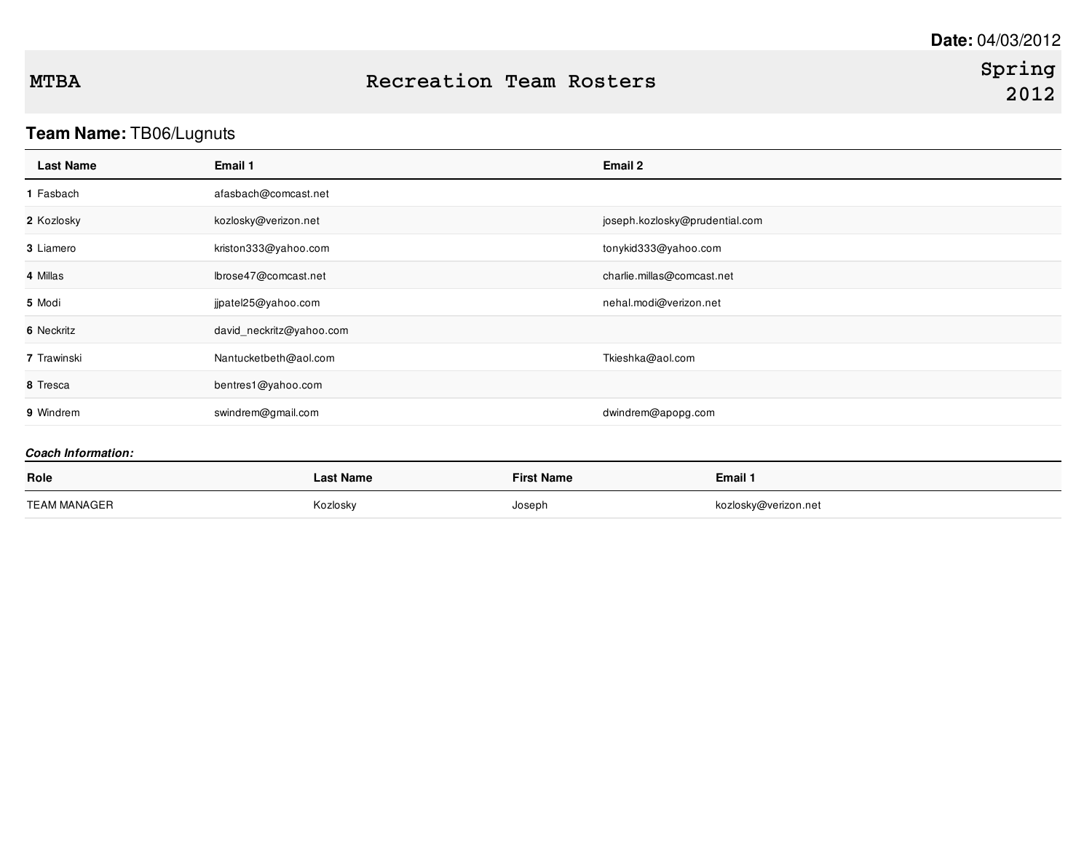# **Team Name:** TB06/Lugnuts

| <b>Last Name</b>          | Email 1                  |                   | Email 2                        |  |
|---------------------------|--------------------------|-------------------|--------------------------------|--|
| 1 Fasbach                 | afasbach@comcast.net     |                   |                                |  |
| 2 Kozlosky                | kozlosky@verizon.net     |                   | joseph.kozlosky@prudential.com |  |
| 3 Liamero                 | kriston333@yahoo.com     |                   | tonykid333@yahoo.com           |  |
| 4 Millas                  | lbrose47@comcast.net     |                   | charlie.millas@comcast.net     |  |
| 5 Modi                    | jjpatel25@yahoo.com      |                   | nehal.modi@verizon.net         |  |
| 6 Neckritz                | david_neckritz@yahoo.com |                   |                                |  |
| 7 Trawinski               | Nantucketbeth@aol.com    |                   | Tkieshka@aol.com               |  |
| 8 Tresca                  | bentres1@yahoo.com       |                   |                                |  |
| 9 Windrem                 | swindrem@gmail.com       |                   | dwindrem@apopg.com             |  |
| <b>Coach Information:</b> |                          |                   |                                |  |
| Role                      | <b>Last Name</b>         | <b>First Name</b> | Email 1                        |  |
| <b>TEAM MANAGER</b>       | Kozlosky                 | Joseph            | kozlosky@verizon.net           |  |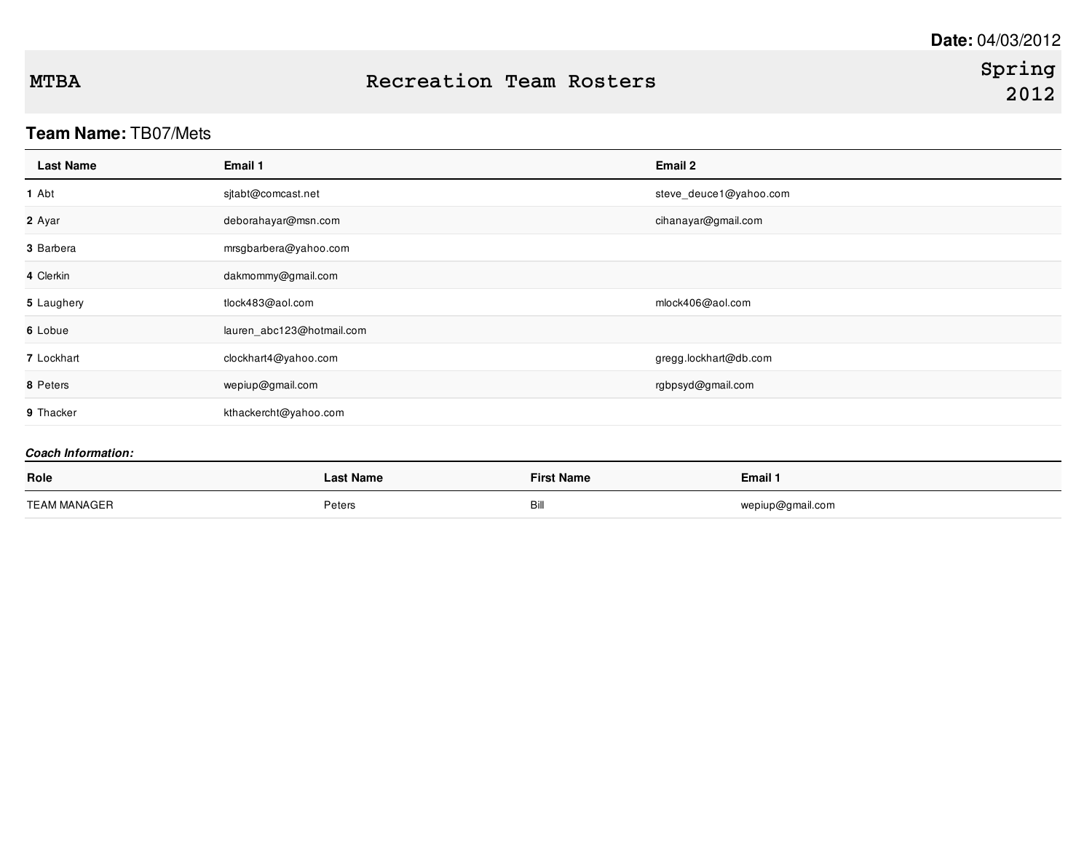## **Team Name:** TB07/Mets

| <b>Last Name</b>          | Email 1                   | Email 2                |
|---------------------------|---------------------------|------------------------|
| 1 Abt                     | sjtabt@comcast.net        | steve_deuce1@yahoo.com |
| 2 Ayar                    | deborahayar@msn.com       | cihanayar@gmail.com    |
| 3 Barbera                 | mrsgbarbera@yahoo.com     |                        |
| 4 Clerkin                 | dakmommy@gmail.com        |                        |
| 5 Laughery                | tlock483@aol.com          | mlock406@aol.com       |
| 6 Lobue                   | lauren_abc123@hotmail.com |                        |
| 7 Lockhart                | clockhart4@yahoo.com      | gregg.lockhart@db.com  |
| 8 Peters                  | wepiup@gmail.com          | rgbpsyd@gmail.com      |
| 9 Thacker                 | kthackercht@yahoo.com     |                        |
| <b>Coach Information:</b> |                           |                        |

# **Role Last Name First Name Email 1** TEAM MANAGER **EXAMPLE SETTING THE SETTING THE SETTING THE SETTING PETER BILL WEST AREA COMPOSED AT A PETER SETTING PETER BILL AND THE SETTING OF PETER SETTING OF PETER SETTING AND RESPOND TO A PETER SETTING OF PERSON AND A**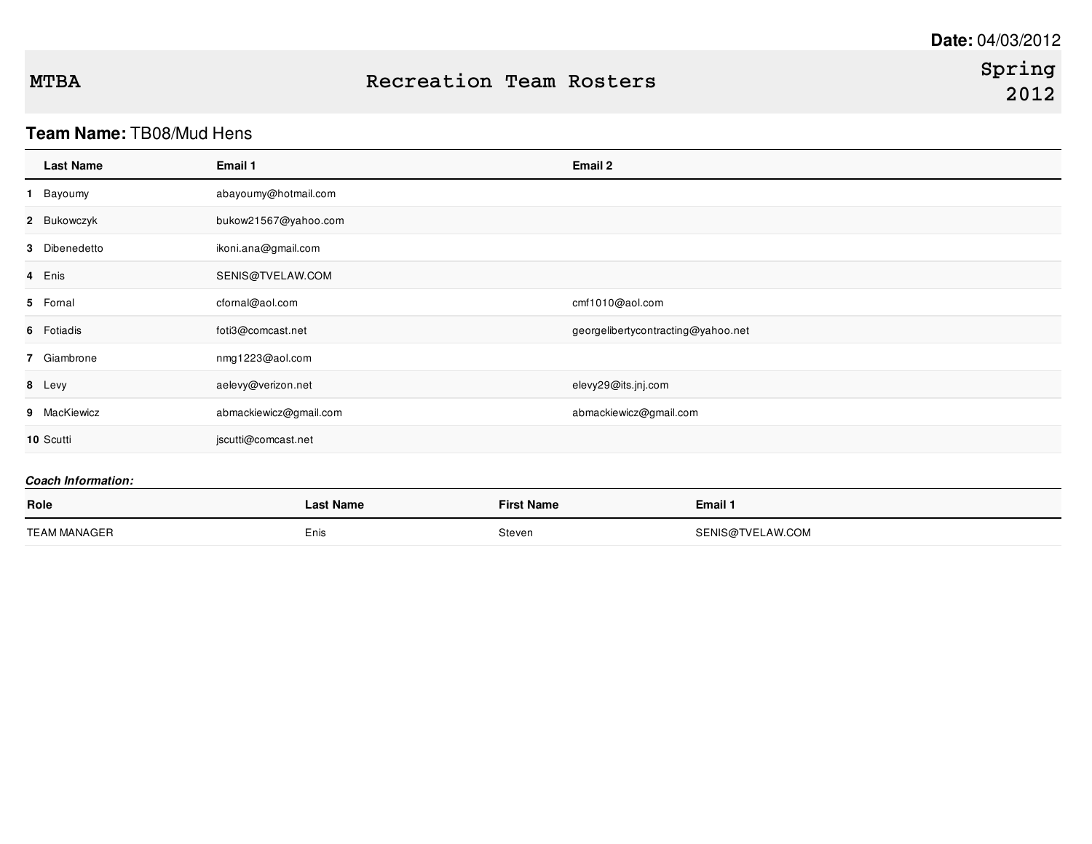## **Team Name:** TB08/Mud Hens

| <b>Last Name</b> | Email 1                | Email 2                            |
|------------------|------------------------|------------------------------------|
| Bayoumy<br>1.    | abayoumy@hotmail.com   |                                    |
| 2 Bukowczyk      | bukow21567@yahoo.com   |                                    |
| 3 Dibenedetto    | ikoni.ana@gmail.com    |                                    |
| 4 Enis           | SENIS@TVELAW.COM       |                                    |
| 5 Fornal         | cfornal@aol.com        | cmf1010@aol.com                    |
| 6 Fotiadis       | foti3@comcast.net      | georgelibertycontracting@yahoo.net |
| 7 Giambrone      | nmg1223@aol.com        |                                    |
| 8 Levy           | aelevy@verizon.net     | elevy29@its.jnj.com                |
| 9 MacKiewicz     | abmackiewicz@gmail.com | abmackiewicz@gmail.com             |
| 10 Scutti        | jscutti@comcast.net    |                                    |

| Role         | <b>Last Name</b> | <b>First Name</b> | Email 1          |
|--------------|------------------|-------------------|------------------|
| TEAM MANAGER | Enis             | Steven            | SENIS@TVELAW.COM |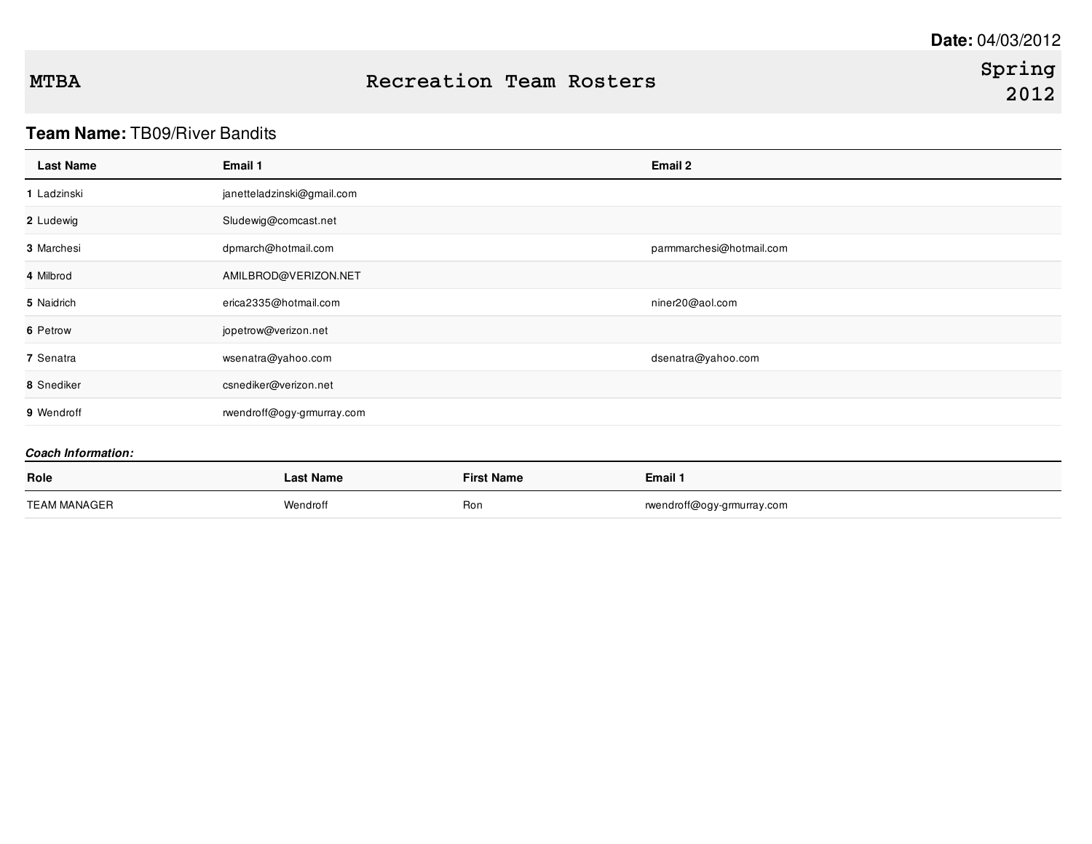# **Team Name:** TB09/River Bandits

| <b>Last Name</b>          | Email 1                    |                   | Email 2                    |
|---------------------------|----------------------------|-------------------|----------------------------|
| 1 Ladzinski               | janetteladzinski@gmail.com |                   |                            |
| 2 Ludewig                 | Sludewig@comcast.net       |                   |                            |
| 3 Marchesi                | dpmarch@hotmail.com        |                   | parmmarchesi@hotmail.com   |
| 4 Milbrod                 | AMILBROD@VERIZON.NET       |                   |                            |
| 5 Naidrich                | erica2335@hotmail.com      |                   | niner20@aol.com            |
| 6 Petrow                  | jopetrow@verizon.net       |                   |                            |
| 7 Senatra                 | wsenatra@yahoo.com         |                   | dsenatra@yahoo.com         |
| 8 Snediker                | csnediker@verizon.net      |                   |                            |
| 9 Wendroff                | rwendroff@ogy-grmurray.com |                   |                            |
| <b>Coach Information:</b> |                            |                   |                            |
| Role                      | <b>Last Name</b>           | <b>First Name</b> | Email 1                    |
| <b>TEAM MANAGER</b>       | Wendroff                   | Ron               | rwendroff@ogy-grmurray.com |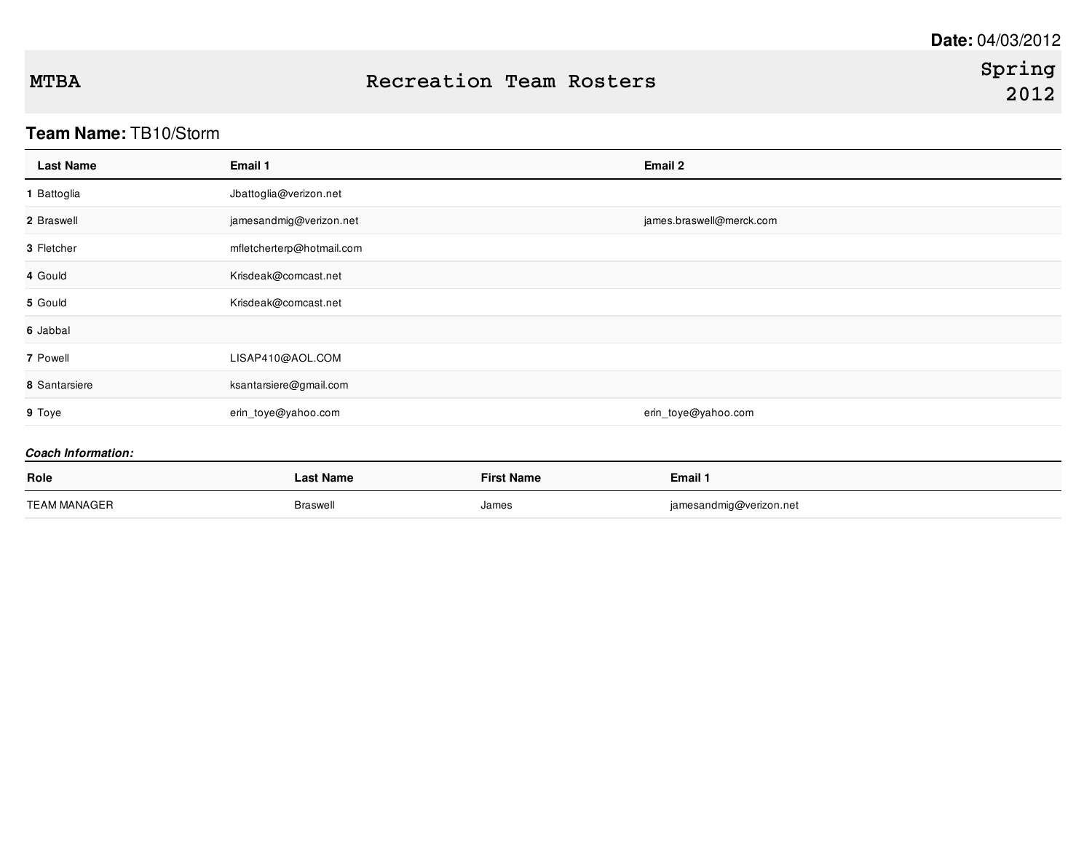## **Team Name:** TB10/Storm

| <b>Last Name</b>          | Email 1                   |                   | Email 2                  |
|---------------------------|---------------------------|-------------------|--------------------------|
| 1 Battoglia               | Jbattoglia@verizon.net    |                   |                          |
| 2 Braswell                | jamesandmig@verizon.net   |                   | james.braswell@merck.com |
| 3 Fletcher                | mfletcherterp@hotmail.com |                   |                          |
| 4 Gould                   | Krisdeak@comcast.net      |                   |                          |
| 5 Gould                   | Krisdeak@comcast.net      |                   |                          |
| 6 Jabbal                  |                           |                   |                          |
| 7 Powell                  | LISAP410@AOL.COM          |                   |                          |
| 8 Santarsiere             | ksantarsiere@gmail.com    |                   |                          |
| 9 Toye                    | erin_toye@yahoo.com       |                   | erin_toye@yahoo.com      |
| <b>Coach Information:</b> |                           |                   |                          |
| Role                      | <b>Last Name</b>          | <b>First Name</b> | Email 1                  |
| <b>TEAM MANAGER</b>       | <b>Braswell</b>           | James             | jamesandmig@verizon.net  |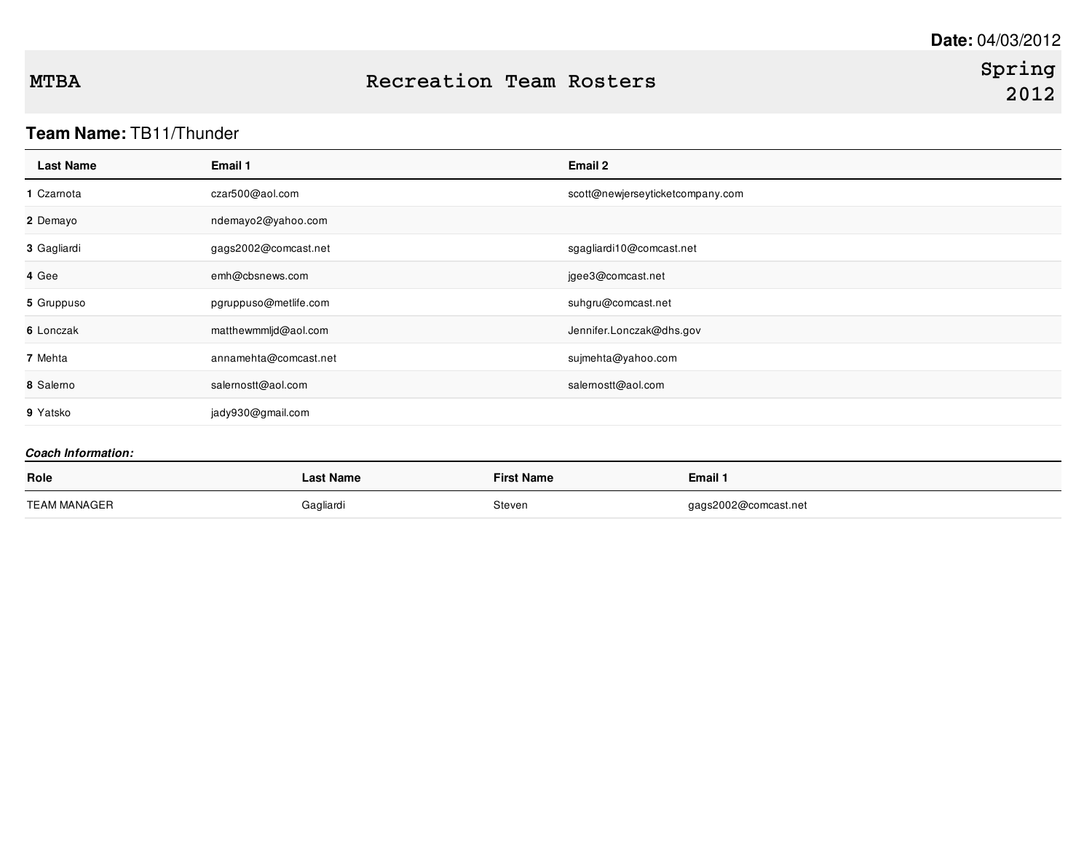# **Team Name:** TB11/Thunder

| <b>Last Name</b>          | Email 1               | <b>Email 2</b>                   |
|---------------------------|-----------------------|----------------------------------|
| 1 Czamota                 | czar500@aol.com       | scott@newjerseyticketcompany.com |
| 2 Demayo                  | ndemayo2@yahoo.com    |                                  |
| 3 Gagliardi               | gags2002@comcast.net  | sgagliardi10@comcast.net         |
| 4 Gee                     | emh@cbsnews.com       | jgee3@comcast.net                |
| 5 Gruppuso                | pgruppuso@metlife.com | suhgru@comcast.net               |
| 6 Lonczak                 | matthewmmljd@aol.com  | Jennifer.Lonczak@dhs.gov         |
| 7 Mehta                   | annamehta@comcast.net | sujmehta@yahoo.com               |
| 8 Salerno                 | salernostt@aol.com    | salernostt@aol.com               |
| 9 Yatsko                  | jady930@gmail.com     |                                  |
| <b>Coach Information:</b> |                       |                                  |

| Role                | .ast Name | <b>First Name</b> | Email 1              |
|---------------------|-----------|-------------------|----------------------|
| <b>TEAM MANAGER</b> | Gagliardi | Steven            | gags2002@comcast.net |